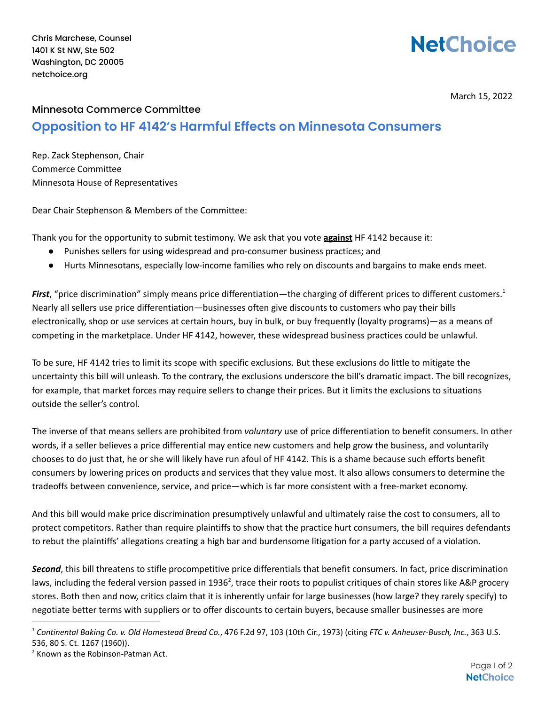Chris Marchese, Counsel 1401 K St NW, Ste 502 Washington, DC 20005 netchoice.org

## **NetChoice**

March 15, 2022

## Minnesota Commerce Committee **Opposition to HF 4142's Harmful Effects on Minnesota Consumers**

Rep. Zack Stephenson, Chair Commerce Committee Minnesota House of Representatives

Dear Chair Stephenson & Members of the Committee:

Thank you for the opportunity to submit testimony. We ask that you vote **against** HF 4142 because it:

- Punishes sellers for using widespread and pro-consumer business practices; and
- Hurts Minnesotans, especially low-income families who rely on discounts and bargains to make ends meet.

*First*, "price discrimination" simply means price differentiation—the charging of different prices to different customers. 1 Nearly all sellers use price differentiation—businesses often give discounts to customers who pay their bills electronically, shop or use services at certain hours, buy in bulk, or buy frequently (loyalty programs)—as a means of competing in the marketplace. Under HF 4142, however, these widespread business practices could be unlawful.

To be sure, HF 4142 tries to limit its scope with specific exclusions. But these exclusions do little to mitigate the uncertainty this bill will unleash. To the contrary, the exclusions underscore the bill's dramatic impact. The bill recognizes, for example, that market forces may require sellers to change their prices. But it limits the exclusions to situations outside the seller's control.

The inverse of that means sellers are prohibited from *voluntary* use of price differentiation to benefit consumers. In other words, if a seller believes a price differential may entice new customers and help grow the business, and voluntarily chooses to do just that, he or she will likely have run afoul of HF 4142. This is a shame because such efforts benefit consumers by lowering prices on products and services that they value most. It also allows consumers to determine the tradeoffs between convenience, service, and price—which is far more consistent with a free-market economy.

And this bill would make price discrimination presumptively unlawful and ultimately raise the cost to consumers, all to protect competitors. Rather than require plaintiffs to show that the practice hurt consumers, the bill requires defendants to rebut the plaintiffs' allegations creating a high bar and burdensome litigation for a party accused of a violation.

*Second*, this bill threatens to stifle procompetitive price differentials that benefit consumers. In fact, price discrimination laws, including the federal version passed in 1936<sup>2</sup>, trace their roots to populist critiques of chain stores like A&P grocery stores. Both then and now, critics claim that it is inherently unfair for large businesses (how large? they rarely specify) to negotiate better terms with suppliers or to offer discounts to certain buyers, because smaller businesses are more

<sup>1</sup> *Continental Baking Co. v. Old Homestead Bread Co.*, 476 F.2d 97, 103 (10th Cir., 1973) (citing *FTC v. Anheuser-Busch, Inc.*, 363 U.S. 536, 80 S. Ct. 1267 (1960)).

<sup>&</sup>lt;sup>2</sup> Known as the Robinson-Patman Act.